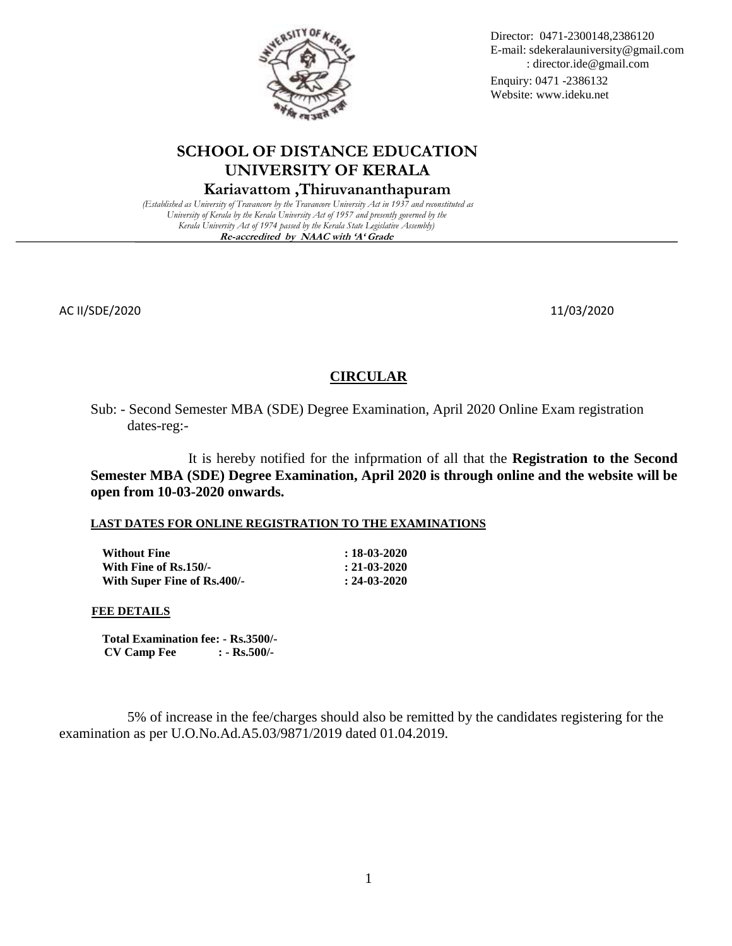

# **SCHOOL OF DISTANCE EDUCATION UNIVERSITY OF KERALA**

# **Kariavattom ,Thiruvananthapuram**

*(Established as University of Travancore by the Travancore University Act in 1937 and reconstituted as University of Kerala by the Kerala University Act of 1957 and presently governed by the Kerala University Act of 1974 passed by the Kerala State Legislative Assembly)* **Re-accredited by NAAC with 'A' Grade**

AC II/SDE/2020 11/03/2020 11/03/2020 12:00 12:00 12:00 12:00 12:00 12:00 12:00 12:00 12:00 12:00 12:00 12:00 1

## **CIRCULAR**

Sub: - Second Semester MBA (SDE) Degree Examination, April 2020 Online Exam registration dates-reg:-

It is hereby notified for the infprmation of all that the **Registration to the Second Semester MBA (SDE) Degree Examination, April 2020 is through online and the website will be open from 10-03-2020 onwards.**

#### **LAST DATES FOR ONLINE REGISTRATION TO THE EXAMINATIONS**

**Without Fine : 18-03-2020 With Fine of Rs.150/-** : 21-03-2020 **With Super Fine of Rs.400/-** : 24-03-2020

#### **FEE DETAILS**

**Total Examination fee: - Rs.3500/- CV Camp Fee : - Rs.500/-**

 5% of increase in the fee/charges should also be remitted by the candidates registering for the examination as per U.O.No.Ad.A5.03/9871/2019 dated 01.04.2019.